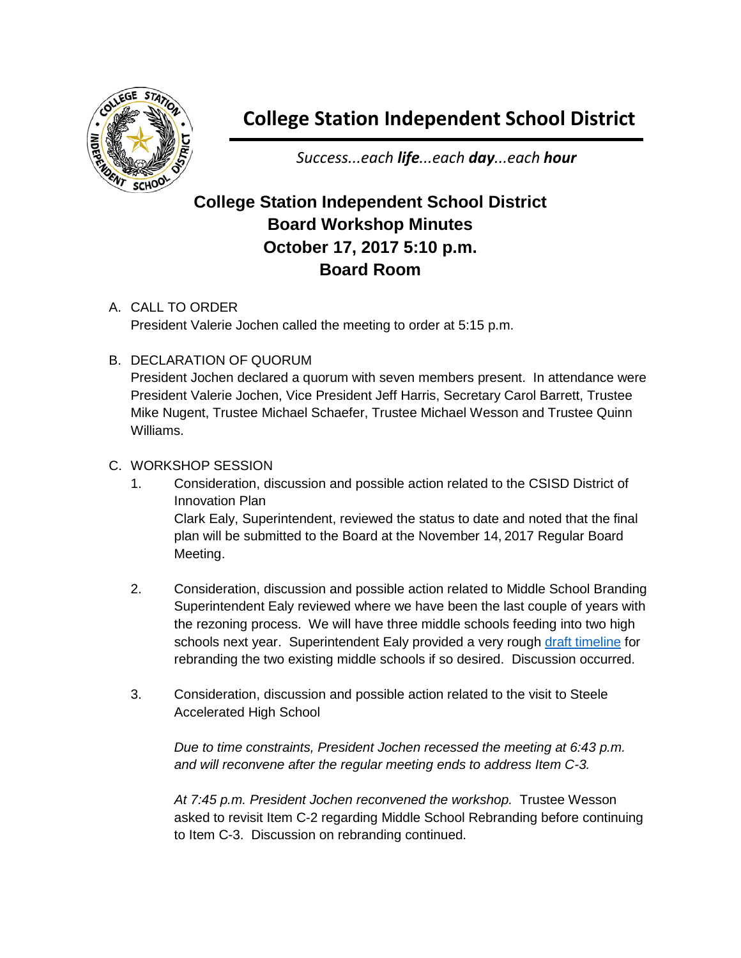

# **College Station Independent School District**

*Success...each life...each day...each hour*

## **College Station Independent School District Board Workshop Minutes October 17, 2017 5:10 p.m. Board Room**

#### A. CALL TO ORDER

President Valerie Jochen called the meeting to order at 5:15 p.m.

### B. DECLARATION OF QUORUM

President Jochen declared a quorum with seven members present. In attendance were President Valerie Jochen, Vice President Jeff Harris, Secretary Carol Barrett, Trustee Mike Nugent, Trustee Michael Schaefer, Trustee Michael Wesson and Trustee Quinn Williams.

#### C. WORKSHOP SESSION

- 1. Consideration, discussion and possible action related to the CSISD District of Innovation Plan Clark Ealy, Superintendent, reviewed the status to date and noted that the final plan will be submitted to the Board at the November 14, 2017 Regular Board Meeting.
- 2. Consideration, discussion and possible action related to Middle School Branding Superintendent Ealy reviewed where we have been the last couple of years with the rezoning process. We will have three middle schools feeding into two high schools next year. Superintendent Ealy provided a very rough [draft timeline](http://web.csisd.org/school_board/agendas/2017-2018/November/Ealy-DRAFT-MiddleSchoolBrandingPlan10.17.17.pdf) for rebranding the two existing middle schools if so desired. Discussion occurred.
- 3. Consideration, discussion and possible action related to the visit to Steele Accelerated High School

*Due to time constraints, President Jochen recessed the meeting at 6:43 p.m. and will reconvene after the regular meeting ends to address Item C-3.*

*At 7:45 p.m. President Jochen reconvened the workshop.* Trustee Wesson asked to revisit Item C-2 regarding Middle School Rebranding before continuing to Item C-3. Discussion on rebranding continued.